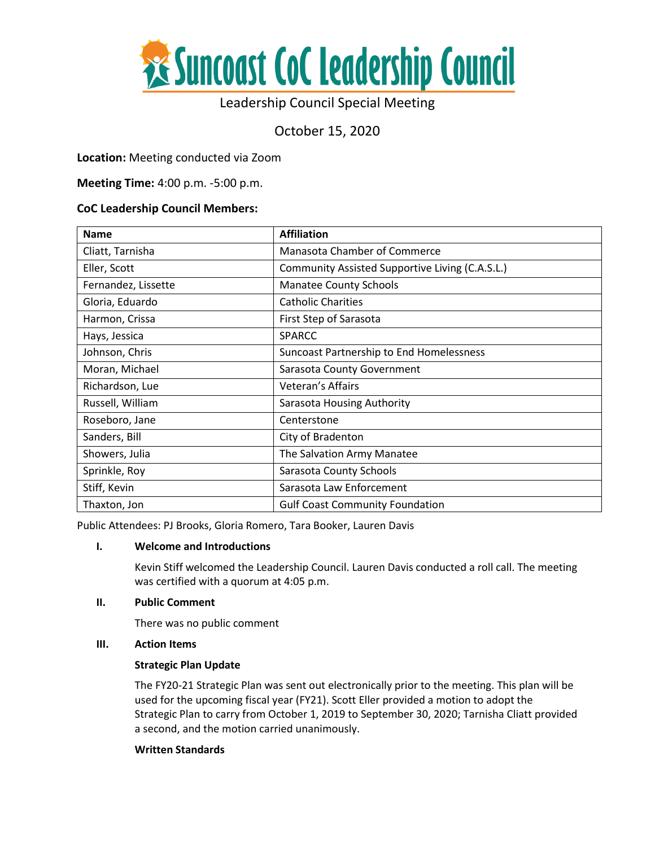

# Leadership Council Special Meeting

October 15, 2020

# **Location:** Meeting conducted via Zoom

**Meeting Time:** 4:00 p.m. -5:00 p.m.

## **CoC Leadership Council Members:**

| <b>Name</b>         | <b>Affiliation</b>                              |
|---------------------|-------------------------------------------------|
| Cliatt, Tarnisha    | Manasota Chamber of Commerce                    |
| Eller, Scott        | Community Assisted Supportive Living (C.A.S.L.) |
| Fernandez, Lissette | <b>Manatee County Schools</b>                   |
| Gloria, Eduardo     | <b>Catholic Charities</b>                       |
| Harmon, Crissa      | First Step of Sarasota                          |
| Hays, Jessica       | <b>SPARCC</b>                                   |
| Johnson, Chris      | Suncoast Partnership to End Homelessness        |
| Moran, Michael      | Sarasota County Government                      |
| Richardson, Lue     | Veteran's Affairs                               |
| Russell, William    | Sarasota Housing Authority                      |
| Roseboro, Jane      | Centerstone                                     |
| Sanders, Bill       | City of Bradenton                               |
| Showers, Julia      | The Salvation Army Manatee                      |
| Sprinkle, Roy       | Sarasota County Schools                         |
| Stiff, Kevin        | Sarasota Law Enforcement                        |
| Thaxton, Jon        | <b>Gulf Coast Community Foundation</b>          |

Public Attendees: PJ Brooks, Gloria Romero, Tara Booker, Lauren Davis

## **I. Welcome and Introductions**

Kevin Stiff welcomed the Leadership Council. Lauren Davis conducted a roll call. The meeting was certified with a quorum at 4:05 p.m.

## **II. Public Comment**

There was no public comment

## **III. Action Items**

## **Strategic Plan Update**

The FY20-21 Strategic Plan was sent out electronically prior to the meeting. This plan will be used for the upcoming fiscal year (FY21). Scott Eller provided a motion to adopt the Strategic Plan to carry from October 1, 2019 to September 30, 2020; Tarnisha Cliatt provided a second, and the motion carried unanimously.

#### **Written Standards**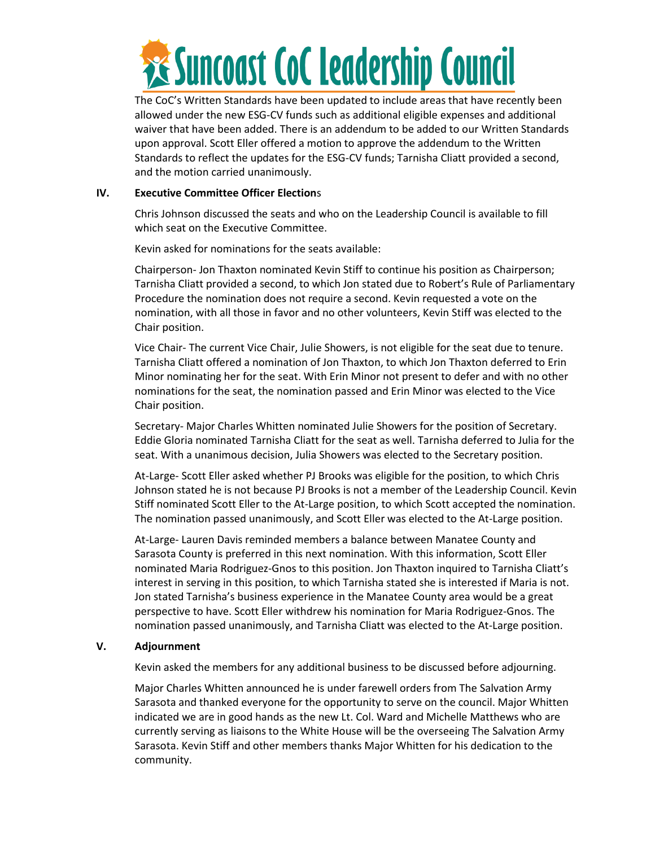

The CoC's Written Standards have been updated to include areas that have recently been allowed under the new ESG-CV funds such as additional eligible expenses and additional waiver that have been added. There is an addendum to be added to our Written Standards upon approval. Scott Eller offered a motion to approve the addendum to the Written Standards to reflect the updates for the ESG-CV funds; Tarnisha Cliatt provided a second, and the motion carried unanimously.

#### **IV. Executive Committee Officer Election**s

Chris Johnson discussed the seats and who on the Leadership Council is available to fill which seat on the Executive Committee.

Kevin asked for nominations for the seats available:

Chairperson- Jon Thaxton nominated Kevin Stiff to continue his position as Chairperson; Tarnisha Cliatt provided a second, to which Jon stated due to Robert's Rule of Parliamentary Procedure the nomination does not require a second. Kevin requested a vote on the nomination, with all those in favor and no other volunteers, Kevin Stiff was elected to the Chair position.

Vice Chair- The current Vice Chair, Julie Showers, is not eligible for the seat due to tenure. Tarnisha Cliatt offered a nomination of Jon Thaxton, to which Jon Thaxton deferred to Erin Minor nominating her for the seat. With Erin Minor not present to defer and with no other nominations for the seat, the nomination passed and Erin Minor was elected to the Vice Chair position.

Secretary- Major Charles Whitten nominated Julie Showers for the position of Secretary. Eddie Gloria nominated Tarnisha Cliatt for the seat as well. Tarnisha deferred to Julia for the seat. With a unanimous decision, Julia Showers was elected to the Secretary position.

At-Large- Scott Eller asked whether PJ Brooks was eligible for the position, to which Chris Johnson stated he is not because PJ Brooks is not a member of the Leadership Council. Kevin Stiff nominated Scott Eller to the At-Large position, to which Scott accepted the nomination. The nomination passed unanimously, and Scott Eller was elected to the At-Large position.

At-Large- Lauren Davis reminded members a balance between Manatee County and Sarasota County is preferred in this next nomination. With this information, Scott Eller nominated Maria Rodriguez-Gnos to this position. Jon Thaxton inquired to Tarnisha Cliatt's interest in serving in this position, to which Tarnisha stated she is interested if Maria is not. Jon stated Tarnisha's business experience in the Manatee County area would be a great perspective to have. Scott Eller withdrew his nomination for Maria Rodriguez-Gnos. The nomination passed unanimously, and Tarnisha Cliatt was elected to the At-Large position.

## **V. Adjournment**

Kevin asked the members for any additional business to be discussed before adjourning.

Major Charles Whitten announced he is under farewell orders from The Salvation Army Sarasota and thanked everyone for the opportunity to serve on the council. Major Whitten indicated we are in good hands as the new Lt. Col. Ward and Michelle Matthews who are currently serving as liaisons to the White House will be the overseeing The Salvation Army Sarasota. Kevin Stiff and other members thanks Major Whitten for his dedication to the community.